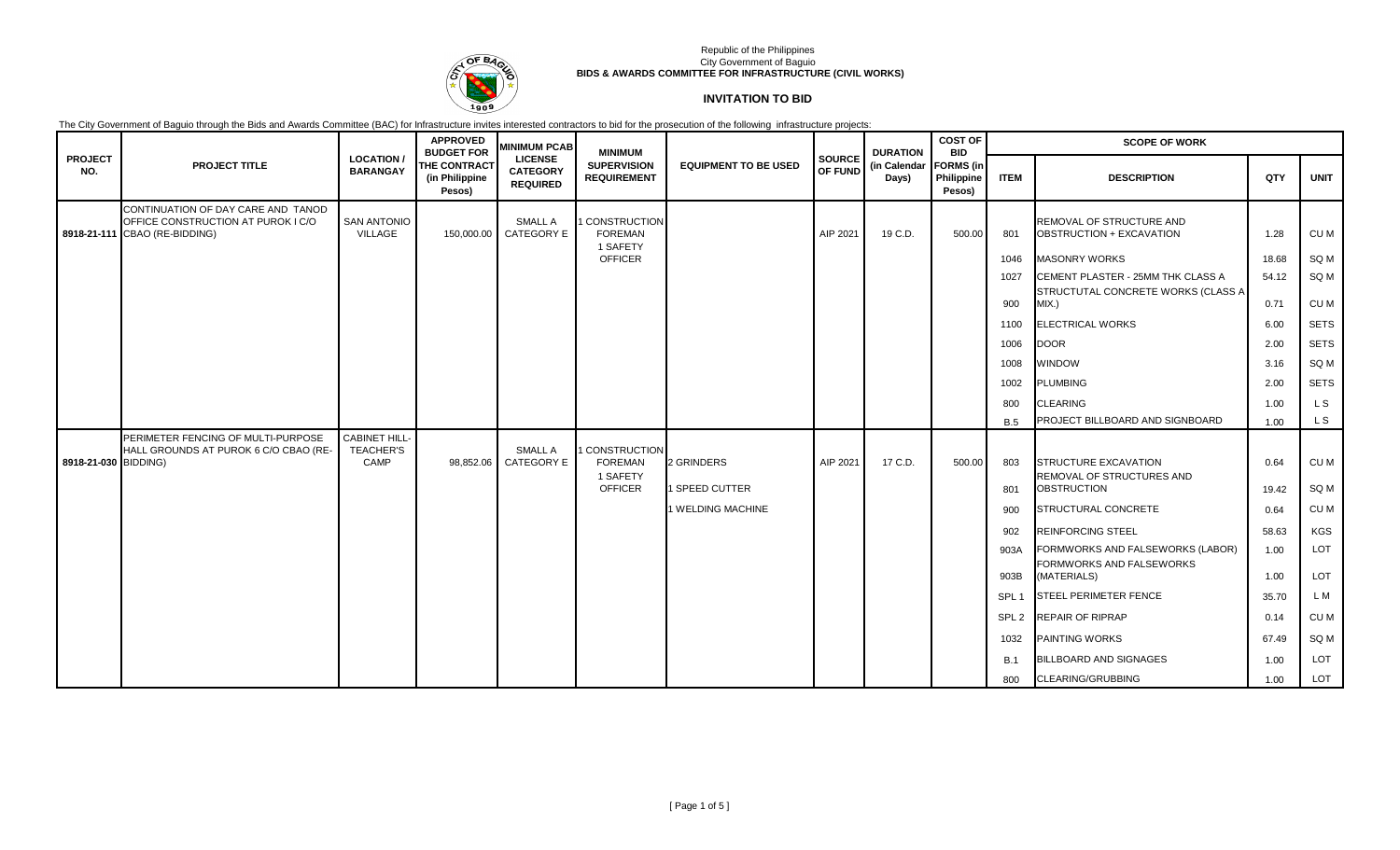

# **INVITATION TO BID**

|                       |                                                                                                           |                                                 | <b>APPROVED</b><br><b>BUDGET FOR</b>     | <b>MINIMUM PCAB</b>                                  | <b>MINIMUM</b>                                                        |                              |                          | <b>DURATION</b>       | <b>COST OF</b><br><b>BID</b>             | <b>SCOPE OF WORK</b> |                                                                         |               |              |  |
|-----------------------|-----------------------------------------------------------------------------------------------------------|-------------------------------------------------|------------------------------------------|------------------------------------------------------|-----------------------------------------------------------------------|------------------------------|--------------------------|-----------------------|------------------------------------------|----------------------|-------------------------------------------------------------------------|---------------|--------------|--|
| <b>PROJECT</b><br>NO. | <b>PROJECT TITLE</b>                                                                                      | <b>LOCATION</b><br><b>BARANGAY</b>              | THE CONTRACT<br>(in Philippine<br>Pesos) | <b>LICENSE</b><br><b>CATEGORY</b><br><b>REQUIRED</b> | <b>SUPERVISION</b><br><b>REQUIREMENT</b>                              | <b>EQUIPMENT TO BE USED</b>  | SOURCE<br><b>OF FUND</b> | (in Calendar<br>Days) | <b>FORMS</b> (in<br>Philippine<br>Pesos) | <b>ITEM</b>          | <b>DESCRIPTION</b>                                                      | QTY           | <b>UNIT</b>  |  |
|                       | CONTINUATION OF DAY CARE AND TANOD<br>OFFICE CONSTRUCTION AT PUROK I C/O<br>8918-21-111 CBAO (RE-BIDDING) | <b>SAN ANTONIO</b><br>VILLAGE                   | 150,000.00                               | SMALL A<br>CATEGORY E                                | <b>I CONSTRUCTION</b><br><b>FOREMAN</b><br>1 SAFETY                   |                              | AIP 2021                 | 19 C.D.               | 500.00                                   | 801                  | REMOVAL OF STRUCTURE AND<br>OBSTRUCTION + EXCAVATION                    | 1.28          | CU M         |  |
|                       |                                                                                                           |                                                 |                                          |                                                      | <b>OFFICER</b>                                                        |                              |                          |                       |                                          | 1046                 | <b>MASONRY WORKS</b>                                                    | 18.68         | SQ M         |  |
|                       |                                                                                                           |                                                 |                                          |                                                      |                                                                       |                              |                          |                       |                                          | 1027                 | CEMENT PLASTER - 25MM THK CLASS A                                       | 54.12         | SQ M         |  |
|                       |                                                                                                           |                                                 |                                          |                                                      |                                                                       |                              |                          |                       |                                          | 900                  | STRUCTUTAL CONCRETE WORKS (CLASS A<br>MIX.                              | 0.71          | CU M         |  |
|                       |                                                                                                           |                                                 |                                          |                                                      |                                                                       |                              |                          |                       |                                          | 1100                 | <b>ELECTRICAL WORKS</b>                                                 | 6.00          | <b>SETS</b>  |  |
|                       |                                                                                                           |                                                 |                                          |                                                      |                                                                       |                              |                          |                       |                                          | 1006                 | <b>DOOR</b>                                                             | 2.00          | <b>SETS</b>  |  |
|                       |                                                                                                           |                                                 |                                          |                                                      |                                                                       |                              |                          |                       |                                          | 1008                 | <b>WINDOW</b>                                                           | 3.16          | SQ M         |  |
|                       |                                                                                                           |                                                 |                                          |                                                      |                                                                       |                              |                          |                       |                                          | 1002                 | <b>PLUMBING</b>                                                         | 2.00          | <b>SETS</b>  |  |
|                       |                                                                                                           |                                                 |                                          |                                                      |                                                                       |                              |                          |                       |                                          | 800                  | <b>CLEARING</b>                                                         | 1.00          | L S          |  |
|                       |                                                                                                           |                                                 |                                          |                                                      |                                                                       |                              |                          |                       |                                          | <b>B.5</b>           | PROJECT BILLBOARD AND SIGNBOARD                                         | 1.00          | L S          |  |
| 8918-21-030 BIDDING)  | PERIMETER FENCING OF MULTI-PURPOSE<br>HALL GROUNDS AT PUROK 6 C/O CBAO (RE-                               | <b>CABINET HILL</b><br><b>TEACHER'S</b><br>CAMP | 98,852.06                                | SMALL A<br>CATEGORY E                                | <b>I CONSTRUCTION</b><br><b>FOREMAN</b><br>1 SAFETY<br><b>OFFICER</b> | 2 GRINDERS<br>1 SPEED CUTTER | AIP 2021                 | 17 C.D.               | 500.00                                   | 803<br>801           | STRUCTURE EXCAVATION<br>REMOVAL OF STRUCTURES AND<br><b>OBSTRUCTION</b> | 0.64<br>19.42 | CU M<br>SQ M |  |
|                       |                                                                                                           |                                                 |                                          |                                                      |                                                                       | 1 WELDING MACHINE            |                          |                       |                                          | 900                  | STRUCTURAL CONCRETE                                                     | 0.64          | CU M         |  |
|                       |                                                                                                           |                                                 |                                          |                                                      |                                                                       |                              |                          |                       |                                          | 902                  | <b>REINFORCING STEEL</b>                                                | 58.63         | <b>KGS</b>   |  |
|                       |                                                                                                           |                                                 |                                          |                                                      |                                                                       |                              |                          |                       |                                          | 903A                 | FORMWORKS AND FALSEWORKS (LABOR)                                        | 1.00          | LOT          |  |
|                       |                                                                                                           |                                                 |                                          |                                                      |                                                                       |                              |                          |                       |                                          | 903B                 | FORMWORKS AND FALSEWORKS<br>(MATERIALS)                                 | 1.00          | LOT          |  |
|                       |                                                                                                           |                                                 |                                          |                                                      |                                                                       |                              |                          |                       |                                          | SPL <sub>1</sub>     | <b>STEEL PERIMETER FENCE</b>                                            | 35.70         | L M          |  |
|                       |                                                                                                           |                                                 |                                          |                                                      |                                                                       |                              |                          |                       |                                          | SPL <sub>2</sub>     | <b>REPAIR OF RIPRAP</b>                                                 | 0.14          | CU M         |  |
|                       |                                                                                                           |                                                 |                                          |                                                      |                                                                       |                              |                          |                       |                                          | 1032                 | <b>PAINTING WORKS</b>                                                   | 67.49         | SQ M         |  |
|                       |                                                                                                           |                                                 |                                          |                                                      |                                                                       |                              |                          |                       |                                          | <b>B.1</b>           | <b>BILLBOARD AND SIGNAGES</b>                                           | 1.00          | LOT          |  |
|                       |                                                                                                           |                                                 |                                          |                                                      |                                                                       |                              |                          |                       |                                          | 800                  | <b>CLEARING/GRUBBING</b>                                                | 1.00          | LOT          |  |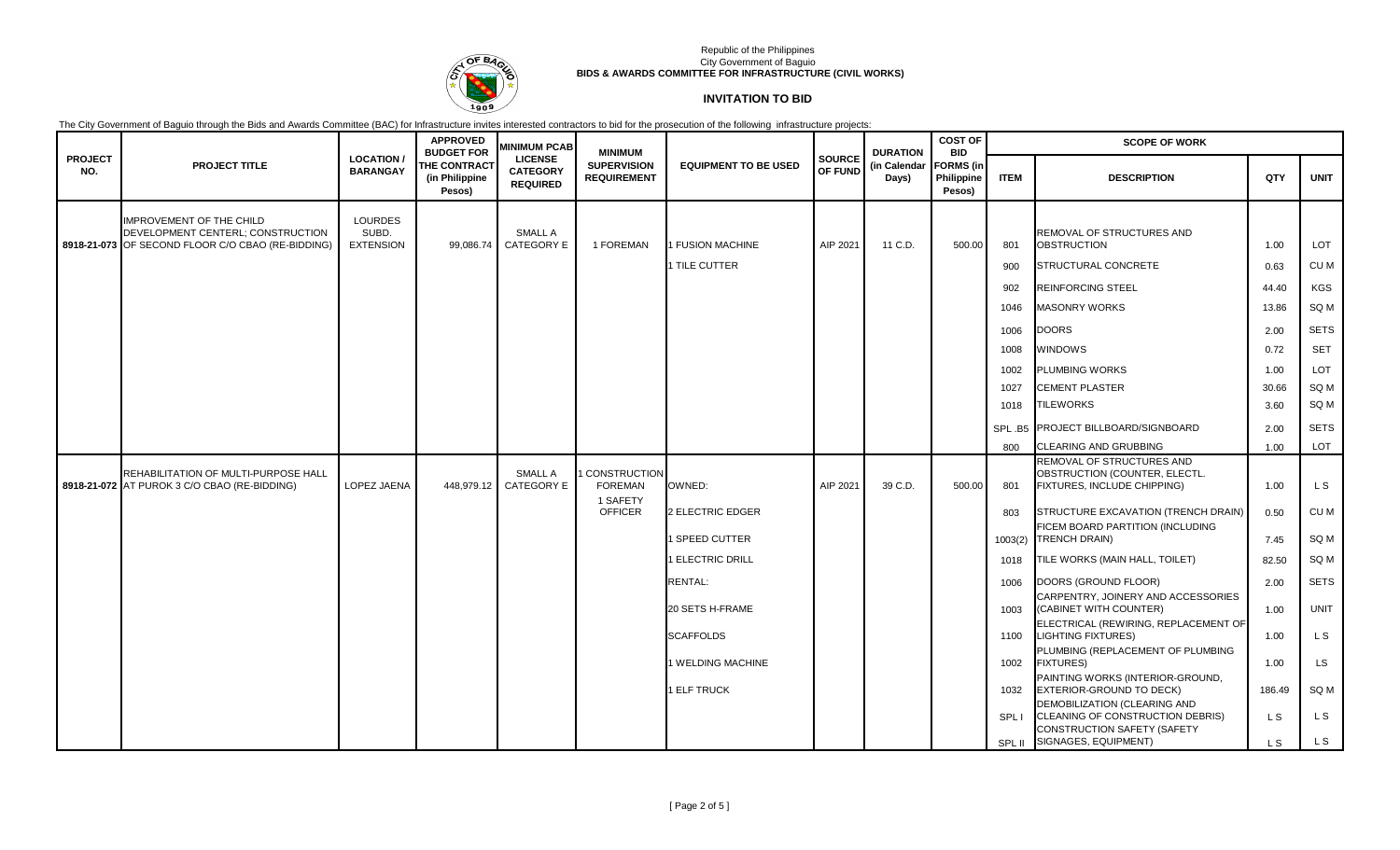

# **INVITATION TO BID**

|                       |                                                                                        |                                     | <b>APPROVED</b><br><b>BUDGET FOR</b>            | <b>MINIMUM PCAB</b>                                  | <b>MINIMUM</b>                             |                             |                          | <b>DURATION</b>       | <b>COST OF</b><br><b>BID</b>             | <b>SCOPE OF WORK</b> |                                                                                                               |        |             |
|-----------------------|----------------------------------------------------------------------------------------|-------------------------------------|-------------------------------------------------|------------------------------------------------------|--------------------------------------------|-----------------------------|--------------------------|-----------------------|------------------------------------------|----------------------|---------------------------------------------------------------------------------------------------------------|--------|-------------|
| <b>PROJECT</b><br>NO. | <b>PROJECT TITLE</b>                                                                   | <b>LOCATION/</b><br><b>BARANGAY</b> | <b>THE CONTRACT</b><br>(in Philippine<br>Pesos) | <b>LICENSE</b><br><b>CATEGORY</b><br><b>REQUIRED</b> | <b>SUPERVISION</b><br><b>REQUIREMENT</b>   | <b>EQUIPMENT TO BE USED</b> | <b>SOURCE</b><br>OF FUND | (in Calendar<br>Days) | <b>FORMS</b> (in<br>Philippine<br>Pesos) | <b>ITEM</b>          | <b>DESCRIPTION</b>                                                                                            | QTY    | <b>UNIT</b> |
|                       | <b>IMPROVEMENT OF THE CHILD</b>                                                        | <b>LOURDES</b>                      |                                                 |                                                      |                                            |                             |                          |                       |                                          |                      |                                                                                                               |        |             |
|                       | DEVELOPMENT CENTERL; CONSTRUCTION<br>8918-21-073 OF SECOND FLOOR C/O CBAO (RE-BIDDING) | SUBD.<br><b>EXTENSION</b>           | 99,086.74                                       | SMALL A<br><b>CATEGORY E</b>                         | 1 FOREMAN                                  | 1 FUSION MACHINE            | AIP 2021                 | 11 C.D.               | 500.00                                   | 801                  | REMOVAL OF STRUCTURES AND<br><b>OBSTRUCTION</b>                                                               | 1.00   | LOT         |
|                       |                                                                                        |                                     |                                                 |                                                      |                                            | 1 TILE CUTTER               |                          |                       |                                          | 900                  | STRUCTURAL CONCRETE                                                                                           | 0.63   | CU M        |
|                       |                                                                                        |                                     |                                                 |                                                      |                                            |                             |                          |                       |                                          | 902                  | <b>REINFORCING STEEL</b>                                                                                      | 44.40  | KGS         |
|                       |                                                                                        |                                     |                                                 |                                                      |                                            |                             |                          |                       |                                          | 1046                 | <b>MASONRY WORKS</b>                                                                                          | 13.86  | SQ M        |
|                       |                                                                                        |                                     |                                                 |                                                      |                                            |                             |                          |                       |                                          | 1006                 | <b>DOORS</b>                                                                                                  | 2.00   | <b>SETS</b> |
|                       |                                                                                        |                                     |                                                 |                                                      |                                            |                             |                          |                       |                                          | 1008                 | <b>WINDOWS</b>                                                                                                | 0.72   | <b>SET</b>  |
|                       |                                                                                        |                                     |                                                 |                                                      |                                            |                             |                          |                       |                                          | 1002                 | <b>PLUMBING WORKS</b>                                                                                         | 1.00   | <b>LOT</b>  |
|                       |                                                                                        |                                     |                                                 |                                                      |                                            |                             |                          |                       |                                          | 1027                 | <b>CEMENT PLASTER</b>                                                                                         | 30.66  | SQ M        |
|                       |                                                                                        |                                     |                                                 |                                                      |                                            |                             |                          |                       |                                          | 1018                 | <b>TILEWORKS</b>                                                                                              | 3.60   | SQ M        |
|                       |                                                                                        |                                     |                                                 |                                                      |                                            |                             |                          |                       |                                          |                      | SPL B5 PROJECT BILLBOARD/SIGNBOARD                                                                            | 2.00   | <b>SETS</b> |
|                       |                                                                                        |                                     |                                                 |                                                      |                                            |                             |                          |                       |                                          | 800                  | <b>CLEARING AND GRUBBING</b>                                                                                  | 1.00   | LOT         |
|                       | REHABILITATION OF MULTI-PURPOSE HALL<br>8918-21-072 AT PUROK 3 C/O CBAO (RE-BIDDING)   | LOPEZ JAENA                         | 448,979.12                                      | SMALL A<br><b>CATEGORY E</b>                         | CONSTRUCTION<br><b>FOREMAN</b><br>1 SAFETY | OWNED:                      | AIP 2021                 | 39 C.D.               | 500.00                                   | 801                  | REMOVAL OF STRUCTURES AND<br>OBSTRUCTION (COUNTER, ELECTL.<br>FIXTURES, INCLUDE CHIPPING)                     | 1.00   | LS          |
|                       |                                                                                        |                                     |                                                 |                                                      | <b>OFFICER</b>                             | 2 ELECTRIC EDGER            |                          |                       |                                          | 803                  | STRUCTURE EXCAVATION (TRENCH DRAIN)                                                                           | 0.50   | CU M        |
|                       |                                                                                        |                                     |                                                 |                                                      |                                            | 1 SPEED CUTTER              |                          |                       |                                          | 1003(2)              | FICEM BOARD PARTITION (INCLUDING<br><b>TRENCH DRAIN)</b>                                                      | 7.45   | SQ M        |
|                       |                                                                                        |                                     |                                                 |                                                      |                                            | 1 ELECTRIC DRILL            |                          |                       |                                          | 1018                 | TILE WORKS (MAIN HALL, TOILET)                                                                                | 82.50  | SQ M        |
|                       |                                                                                        |                                     |                                                 |                                                      |                                            | RENTAL:                     |                          |                       |                                          | 1006                 | DOORS (GROUND FLOOR)                                                                                          | 2.00   | <b>SETS</b> |
|                       |                                                                                        |                                     |                                                 |                                                      |                                            | 20 SETS H-FRAME             |                          |                       |                                          | 1003                 | CARPENTRY, JOINERY AND ACCESSORIES<br>(CABINET WITH COUNTER)                                                  | 1.00   | <b>UNIT</b> |
|                       |                                                                                        |                                     |                                                 |                                                      |                                            | <b>SCAFFOLDS</b>            |                          |                       |                                          | 1100                 | ELECTRICAL (REWIRING, REPLACEMENT OF<br><b>LIGHTING FIXTURES)</b>                                             | 1.00   | L S         |
|                       |                                                                                        |                                     |                                                 |                                                      |                                            | 1 WELDING MACHINE           |                          |                       |                                          | 1002                 | PLUMBING (REPLACEMENT OF PLUMBING<br><b>FIXTURES)</b>                                                         | 1.00   | LS          |
|                       |                                                                                        |                                     |                                                 |                                                      |                                            | 1 ELF TRUCK                 |                          |                       |                                          | 1032                 | PAINTING WORKS (INTERIOR-GROUND,<br><b>EXTERIOR-GROUND TO DECK)</b>                                           | 186.49 | SQ M        |
|                       |                                                                                        |                                     |                                                 |                                                      |                                            |                             |                          |                       |                                          | SPL I                | <b>DEMOBILIZATION (CLEARING AND</b><br>CLEANING OF CONSTRUCTION DEBRIS)<br><b>CONSTRUCTION SAFETY (SAFETY</b> | L S    | L S         |
|                       |                                                                                        |                                     |                                                 |                                                      |                                            |                             |                          |                       |                                          | SPL II               | SIGNAGES, EQUIPMENT)                                                                                          | L S    | L S         |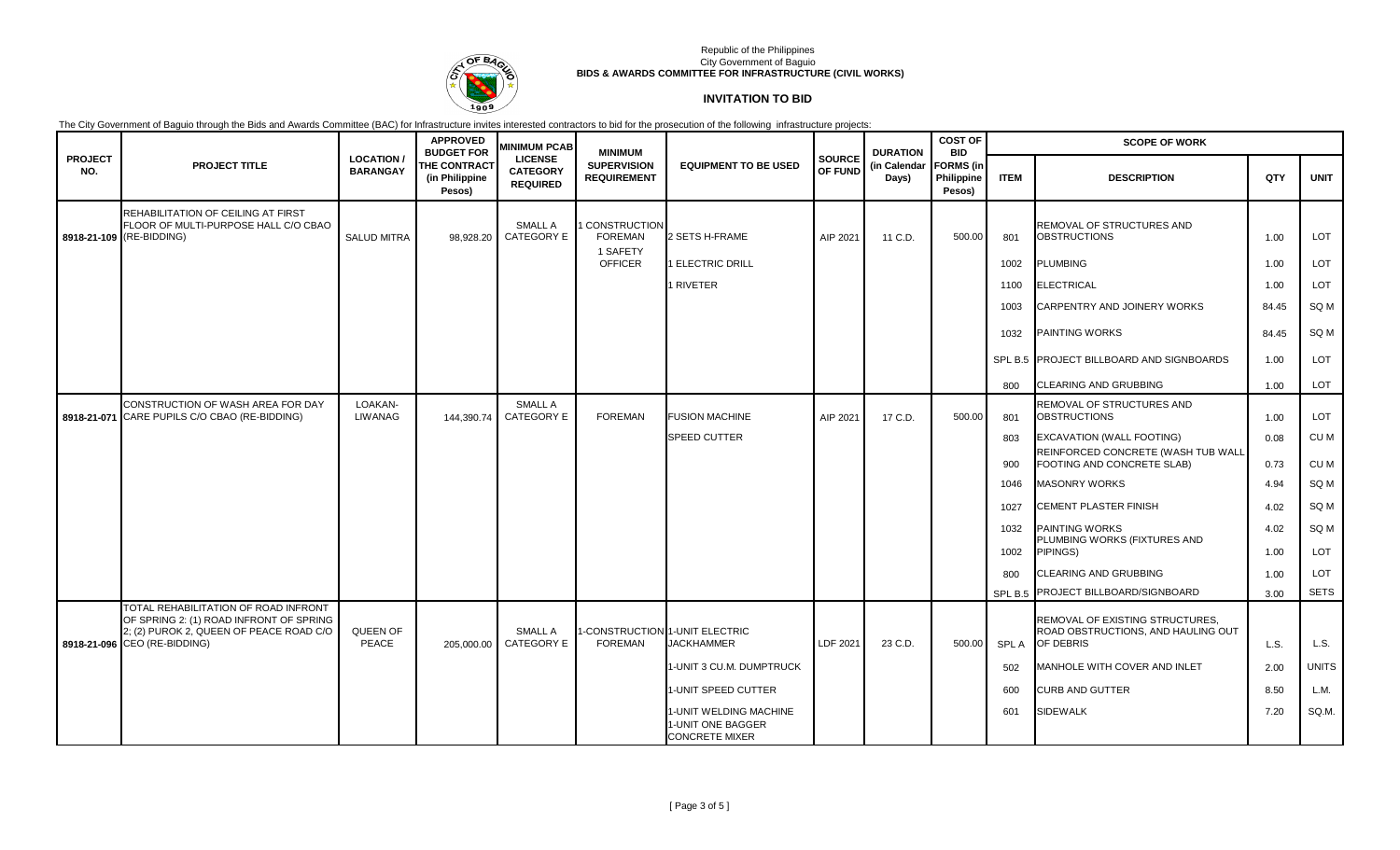

# **INVITATION TO BID**

|                       |                                                                                                                    |                                      | <b>APPROVED</b><br><b>BUDGET FOR</b>     | <b>MINIMUM PCAB</b>                                  | <b>MINIMUM</b>                             |                                                                      |                          | <b>DURATION</b>       | <b>COST OF</b><br><b>BID</b>             | <b>SCOPE OF WORK</b> |                                                                                    |       |                 |  |
|-----------------------|--------------------------------------------------------------------------------------------------------------------|--------------------------------------|------------------------------------------|------------------------------------------------------|--------------------------------------------|----------------------------------------------------------------------|--------------------------|-----------------------|------------------------------------------|----------------------|------------------------------------------------------------------------------------|-------|-----------------|--|
| <b>PROJECT</b><br>NO. | <b>PROJECT TITLE</b>                                                                                               | <b>LOCATION /</b><br><b>BARANGAY</b> | THE CONTRACT<br>(in Philippine<br>Pesos) | <b>LICENSE</b><br><b>CATEGORY</b><br><b>REQUIRED</b> | <b>SUPERVISION</b><br><b>REQUIREMENT</b>   | <b>EQUIPMENT TO BE USED</b>                                          | <b>SOURCE</b><br>OF FUND | (in Calendar<br>Days) | <b>FORMS</b> (in<br>Philippine<br>Pesos) | <b>ITEM</b>          | <b>DESCRIPTION</b>                                                                 | QTY   | <b>UNIT</b>     |  |
|                       | REHABILITATION OF CEILING AT FIRST<br>FLOOR OF MULTI-PURPOSE HALL C/O CBAO<br>8918-21-109 (RE-BIDDING)             | <b>SALUD MITRA</b>                   | 98.928.20                                | SMALL A<br><b>CATEGORY E</b>                         | CONSTRUCTION<br><b>FOREMAN</b><br>1 SAFETY | 2 SETS H-FRAME                                                       | AIP 2021                 | 11 C.D.               | 500.00                                   | 801                  | REMOVAL OF STRUCTURES AND<br><b>OBSTRUCTIONS</b>                                   | 1.00  | LOT             |  |
|                       |                                                                                                                    |                                      |                                          |                                                      | <b>OFFICER</b>                             | 1 ELECTRIC DRILL                                                     |                          |                       |                                          | 1002                 | <b>PLUMBING</b>                                                                    | 1.00  | LOT             |  |
|                       |                                                                                                                    |                                      |                                          |                                                      |                                            | 1 RIVETER                                                            |                          |                       |                                          | 1100                 | <b>ELECTRICAL</b>                                                                  | 1.00  | LOT             |  |
|                       |                                                                                                                    |                                      |                                          |                                                      |                                            |                                                                      |                          |                       |                                          | 1003                 | CARPENTRY AND JOINERY WORKS                                                        | 84.45 | SQ M            |  |
|                       |                                                                                                                    |                                      |                                          |                                                      |                                            |                                                                      |                          |                       |                                          | 1032                 | <b>PAINTING WORKS</b>                                                              | 84.45 | SQ M            |  |
|                       |                                                                                                                    |                                      |                                          |                                                      |                                            |                                                                      |                          |                       |                                          |                      | SPL B.5 PROJECT BILLBOARD AND SIGNBOARDS                                           | 1.00  | <b>LOT</b>      |  |
|                       |                                                                                                                    |                                      |                                          |                                                      |                                            |                                                                      |                          |                       |                                          | 800                  | <b>CLEARING AND GRUBBING</b>                                                       | 1.00  | LOT             |  |
|                       | CONSTRUCTION OF WASH AREA FOR DAY<br>8918-21-071 CARE PUPILS C/O CBAO (RE-BIDDING)                                 | LOAKAN-<br><b>LIWANAG</b>            | 144.390.74                               | SMALL A<br><b>CATEGORY E</b>                         | <b>FOREMAN</b>                             | <b>FUSION MACHINE</b>                                                | AIP 2021                 | 17 C.D.               | 500.00                                   | 801                  | REMOVAL OF STRUCTURES AND<br><b>OBSTRUCTIONS</b>                                   | 1.00  | LOT             |  |
|                       |                                                                                                                    |                                      |                                          |                                                      |                                            | <b>SPEED CUTTER</b>                                                  |                          |                       |                                          | 803                  | EXCAVATION (WALL FOOTING)                                                          | 0.08  | CU M            |  |
|                       |                                                                                                                    |                                      |                                          |                                                      |                                            |                                                                      |                          |                       |                                          | 900                  | REINFORCED CONCRETE (WASH TUB WALL<br>FOOTING AND CONCRETE SLAB)                   | 0.73  | CU M            |  |
|                       |                                                                                                                    |                                      |                                          |                                                      |                                            |                                                                      |                          |                       |                                          | 1046                 | <b>MASONRY WORKS</b>                                                               | 4.94  | SQ <sub>M</sub> |  |
|                       |                                                                                                                    |                                      |                                          |                                                      |                                            |                                                                      |                          |                       |                                          | 1027                 | CEMENT PLASTER FINISH                                                              | 4.02  | SQ <sub>M</sub> |  |
|                       |                                                                                                                    |                                      |                                          |                                                      |                                            |                                                                      |                          |                       |                                          | 1032                 | <b>PAINTING WORKS</b><br>PLUMBING WORKS (FIXTURES AND                              | 4.02  | SQ <sub>M</sub> |  |
|                       |                                                                                                                    |                                      |                                          |                                                      |                                            |                                                                      |                          |                       |                                          | 1002                 | PIPINGS)                                                                           | 1.00  | LOT             |  |
|                       |                                                                                                                    |                                      |                                          |                                                      |                                            |                                                                      |                          |                       |                                          | 800                  | <b>CLEARING AND GRUBBING</b>                                                       | 1.00  | <b>LOT</b>      |  |
|                       | TOTAL REHABILITATION OF ROAD INFRONT                                                                               |                                      |                                          |                                                      |                                            |                                                                      |                          |                       |                                          | SPL B.5              | PROJECT BILLBOARD/SIGNBOARD                                                        | 3.00  | <b>SETS</b>     |  |
|                       | OF SPRING 2: (1) ROAD INFRONT OF SPRING<br>2; (2) PUROK 2, QUEEN OF PEACE ROAD C/O<br>8918-21-096 CEO (RE-BIDDING) | QUEEN OF<br>PEACE                    | 205,000.00                               | SMALL A<br>CATEGORY E                                | <b>FOREMAN</b>                             | I-CONSTRUCTION 1-UNIT ELECTRIC<br><b>JACKHAMMER</b>                  | LDF 2021                 | 23 C.D.               | 500.00                                   | SPL A                | REMOVAL OF EXISTING STRUCTURES,<br>ROAD OBSTRUCTIONS, AND HAULING OUT<br>OF DEBRIS | L.S.  | L.S.            |  |
|                       |                                                                                                                    |                                      |                                          |                                                      |                                            | 1-UNIT 3 CU.M. DUMPTRUCK                                             |                          |                       |                                          | 502                  | MANHOLE WITH COVER AND INLET                                                       | 2.00  | <b>UNITS</b>    |  |
|                       |                                                                                                                    |                                      |                                          |                                                      |                                            | 1-UNIT SPEED CUTTER                                                  |                          |                       |                                          | 600                  | <b>CURB AND GUTTER</b>                                                             | 8.50  | L.M.            |  |
|                       |                                                                                                                    |                                      |                                          |                                                      |                                            | 1-UNIT WELDING MACHINE<br>1-UNIT ONE BAGGER<br><b>CONCRETE MIXER</b> |                          |                       |                                          | 601                  | <b>SIDEWALK</b>                                                                    | 7.20  | SQ.M.           |  |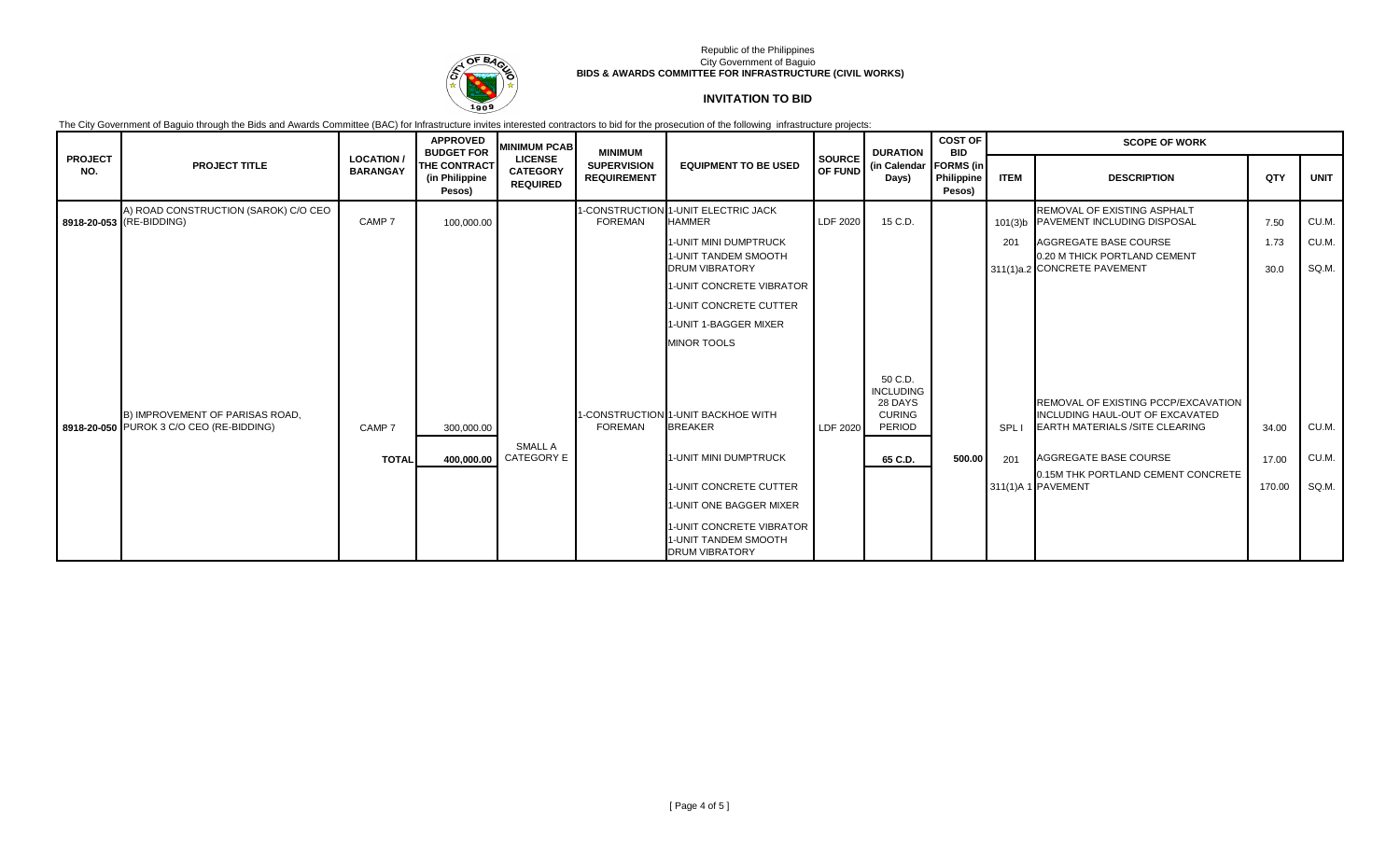

# **INVITATION TO BID**

|                       |                                                                             |                                    | <b>APPROVED</b><br><b>BUDGET FOR</b>            | <b>MINIMUM PCAB</b>                                  | <b>MINIMUM</b>                           |                                                                           |               | <b>DURATION</b>                                                   | <b>COST OF</b><br><b>BID</b>             | <b>SCOPE OF WORK</b> |                                                                                                                 |        |             |  |
|-----------------------|-----------------------------------------------------------------------------|------------------------------------|-------------------------------------------------|------------------------------------------------------|------------------------------------------|---------------------------------------------------------------------------|---------------|-------------------------------------------------------------------|------------------------------------------|----------------------|-----------------------------------------------------------------------------------------------------------------|--------|-------------|--|
| <b>PROJECT</b><br>NO. | <b>PROJECT TITLE</b>                                                        | <b>LOCATION</b><br><b>BARANGAY</b> | <b>THE CONTRACT</b><br>(in Philippine<br>Pesos) | <b>LICENSE</b><br><b>CATEGORY</b><br><b>REQUIRED</b> | <b>SUPERVISION</b><br><b>REQUIREMENT</b> | <b>EQUIPMENT TO BE USED</b>                                               | <b>SOURCE</b> | (in Calendar<br>OF FUND<br>Days)                                  | <b>FORMS</b> (in<br>Philippine<br>Pesos) | <b>ITEM</b>          | <b>DESCRIPTION</b>                                                                                              | QTY    | <b>UNIT</b> |  |
|                       | A) ROAD CONSTRUCTION (SAROK) C/O CEO<br>8918-20-053 (RE-BIDDING)            | CAMP <sub>7</sub>                  | 100,000.00                                      |                                                      | <b>FOREMAN</b>                           | 1-CONSTRUCTION 1-UNIT ELECTRIC JACK<br><b>HAMMER</b>                      | LDF 2020      | 15 C.D.                                                           |                                          |                      | REMOVAL OF EXISTING ASPHALT<br>101(3)b PAVEMENT INCLUDING DISPOSAL                                              | 7.50   | CU.M.       |  |
|                       |                                                                             |                                    |                                                 |                                                      |                                          | <b>1-UNIT MINI DUMPTRUCK</b>                                              |               |                                                                   |                                          | 201                  | AGGREGATE BASE COURSE                                                                                           | 1.73   | CU.M.       |  |
|                       |                                                                             |                                    |                                                 |                                                      |                                          | 1-UNIT TANDEM SMOOTH<br><b>DRUM VIBRATORY</b>                             |               |                                                                   |                                          |                      | 0.20 M THICK PORTLAND CEMENT<br>311(1)a.2 CONCRETE PAVEMENT                                                     | 30.0   | SQ.M.       |  |
|                       |                                                                             |                                    |                                                 |                                                      |                                          | 1-UNIT CONCRETE VIBRATOR                                                  |               |                                                                   |                                          |                      |                                                                                                                 |        |             |  |
|                       |                                                                             |                                    |                                                 |                                                      |                                          | 1-UNIT CONCRETE CUTTER                                                    |               |                                                                   |                                          |                      |                                                                                                                 |        |             |  |
|                       |                                                                             |                                    |                                                 |                                                      |                                          | 1-UNIT 1-BAGGER MIXER                                                     |               |                                                                   |                                          |                      |                                                                                                                 |        |             |  |
|                       |                                                                             |                                    |                                                 |                                                      |                                          | <b>MINOR TOOLS</b>                                                        |               |                                                                   |                                          |                      |                                                                                                                 |        |             |  |
|                       | B) IMPROVEMENT OF PARISAS ROAD.<br>8918-20-050 PUROK 3 C/O CEO (RE-BIDDING) | CAMP <sub>7</sub>                  | 300,000.00                                      |                                                      | <b>FOREMAN</b>                           | 1-CONSTRUCTION 1-UNIT BACKHOE WITH<br><b>BREAKER</b>                      | LDF 2020      | 50 C.D.<br><b>INCLUDING</b><br>28 DAYS<br><b>CURING</b><br>PERIOD |                                          | SPL I                | REMOVAL OF EXISTING PCCP/EXCAVATION<br>INCLUDING HAUL-OUT OF EXCAVATED<br><b>EARTH MATERIALS /SITE CLEARING</b> | 34.00  | CU.M.       |  |
|                       |                                                                             | <b>TOTAL</b>                       | 400.000.00                                      | SMALL A<br><b>CATEGORY E</b>                         |                                          | 1-UNIT MINI DUMPTRUCK                                                     |               | 65 C.D.                                                           | 500.00                                   | 201                  | AGGREGATE BASE COURSE                                                                                           | 17.00  | CU.M.       |  |
|                       |                                                                             |                                    |                                                 |                                                      |                                          | <b>1-UNIT CONCRETE CUTTER</b>                                             |               |                                                                   |                                          |                      | 0.15M THK PORTLAND CEMENT CONCRETE<br>311(1)A 1 PAVEMENT                                                        | 170.00 | SQ.M.       |  |
|                       |                                                                             |                                    |                                                 |                                                      |                                          | 1-UNIT ONE BAGGER MIXER                                                   |               |                                                                   |                                          |                      |                                                                                                                 |        |             |  |
|                       |                                                                             |                                    |                                                 |                                                      |                                          | 1-UNIT CONCRETE VIBRATOR<br>1-UNIT TANDEM SMOOTH<br><b>DRUM VIBRATORY</b> |               |                                                                   |                                          |                      |                                                                                                                 |        |             |  |